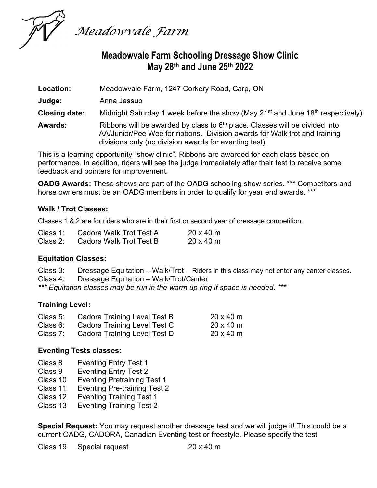

# Meadowvale Farm Schooling Dressage Show Clinic May 28th and June 25th 2022

| Location:            | Meadowyale Farm, 1247 Corkery Road, Carp, ON                                                                                                                                                                         |  |
|----------------------|----------------------------------------------------------------------------------------------------------------------------------------------------------------------------------------------------------------------|--|
| Judge:               | Anna Jessup                                                                                                                                                                                                          |  |
| <b>Closing date:</b> | Midnight Saturday 1 week before the show (May 21 <sup>st</sup> and June 18 <sup>th</sup> respectively)                                                                                                               |  |
| <b>Awards:</b>       | Ribbons will be awarded by class to $6th$ place. Classes will be divided into<br>AA/Junior/Pee Wee for ribbons. Division awards for Walk trot and training<br>divisions only (no division awards for eventing test). |  |

This is a learning opportunity "show clinic". Ribbons are awarded for each class based on performance. In addition, riders will see the judge immediately after their test to receive some feedback and pointers for improvement.

OADG Awards: These shows are part of the OADG schooling show series. \*\*\* Competitors and horse owners must be an OADG members in order to qualify for year end awards. \*\*\*

#### Walk / Trot Classes:

Classes 1 & 2 are for riders who are in their first or second year of dressage competition.

| Class $1:$ | Cadora Walk Trot Test A | $20 \times 40$ m |
|------------|-------------------------|------------------|
| Class 2:   | Cadora Walk Trot Test B | $20 \times 40$ m |

### Equitation Classes:

Class 3: Dressage Equitation – Walk/Trot – Riders in this class may not enter any canter classes. Class 4: Dressage Equitation – Walk/Trot/Canter \*\*\* Equitation classes may be run in the warm up ring if space is needed. \*\*\*

#### Training Level:

| Class 5: Cadora Training Level Test B | $20 \times 40$ m |
|---------------------------------------|------------------|
| Class 6: Cadora Training Level Test C | $20 \times 40$ m |
| Class 7: Cadora Training Level Test D | $20 \times 40$ m |

#### Eventing Tests classes:

- Class 8 Eventing Entry Test 1
- Class 9 Eventing Entry Test 2
- Class 10 Eventing Pretraining Test 1
- Class 11 Eventing Pre-training Test 2
- Class 12 Eventing Training Test 1
- Class 13 Eventing Training Test 2

**Special Request:** You may request another dressage test and we will judge it! This could be a current OADG, CADORA, Canadian Eventing test or freestyle. Please specify the test

| Class 19 | Special request | $20 \times 40$ m |
|----------|-----------------|------------------|
|----------|-----------------|------------------|